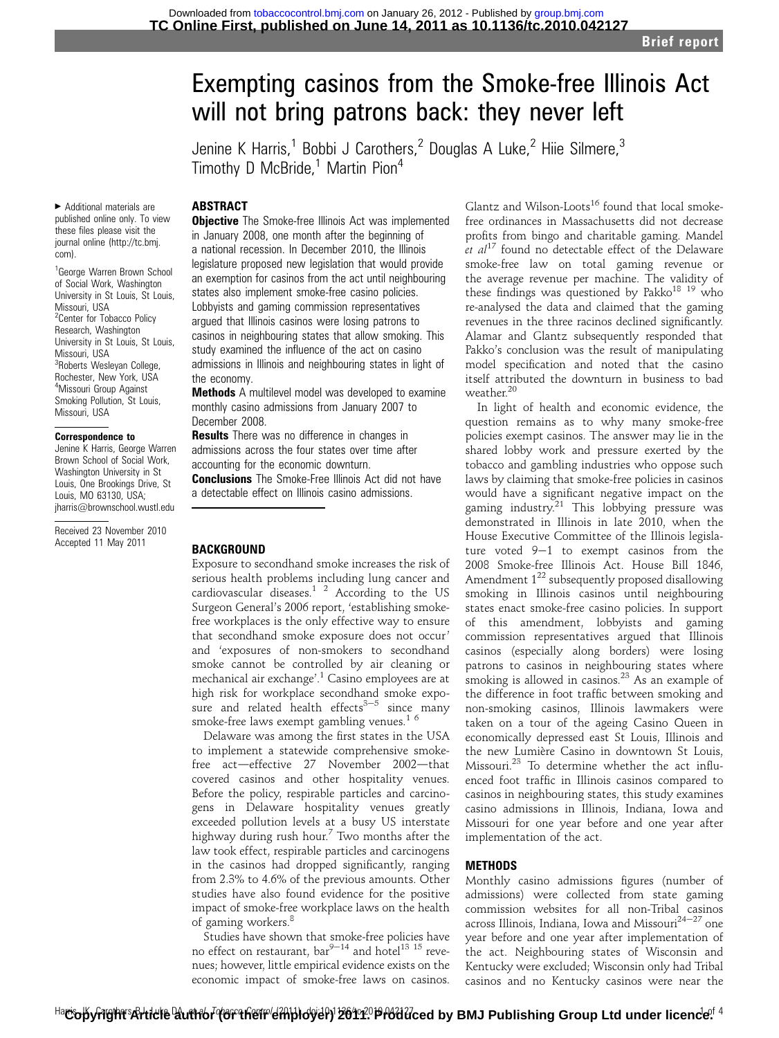# Exempting casinos from the Smoke-free Illinois Act will not bring patrons back: they never left

Jenine K Harris,<sup>1</sup> Bobbi J Carothers,<sup>2</sup> Douglas A Luke,<sup>2</sup> Hiie Silmere,<sup>3</sup> Timothy D McBride,<sup>1</sup> Martin Pion<sup>4</sup>

## **ABSTRACT**

< Additional materials are published online only. To view these files please visit the journal online (http://tc.bmj. com).

<sup>1</sup>George Warren Brown School of Social Work, Washington University in St Louis, St Louis, Missouri, USA <sup>2</sup> Center for Tobacco Policy Research, Washington University in St Louis, St Louis, Missouri, USA <sup>3</sup>Roberts Wesleyan College, Rochester, New York, USA 4 Missouri Group Against Smoking Pollution, St Louis, Missouri, USA

#### Correspondence to

Jenine K Harris, George Warren Brown School of Social Work, Washington University in St Louis, One Brookings Drive, St Louis, MO 63130, USA; jharris@brownschool.wustl.edu

Received 23 November 2010 Accepted 11 May 2011

**Objective** The Smoke-free Illinois Act was implemented in January 2008, one month after the beginning of a national recession. In December 2010, the Illinois legislature proposed new legislation that would provide an exemption for casinos from the act until neighbouring states also implement smoke-free casino policies. Lobbyists and gaming commission representatives argued that Illinois casinos were losing patrons to casinos in neighbouring states that allow smoking. This study examined the influence of the act on casino admissions in Illinois and neighbouring states in light of the economy.

**Methods** A multilevel model was developed to examine monthly casino admissions from January 2007 to December 2008.

**Results** There was no difference in changes in admissions across the four states over time after accounting for the economic downturn.

**Conclusions** The Smoke-Free Illinois Act did not have a detectable effect on Illinois casino admissions.

#### BACKGROUND

Exposure to secondhand smoke increases the risk of serious health problems including lung cancer and cardiovascular diseases. $12$  According to the US Surgeon General's 2006 report, 'establishing smokefree workplaces is the only effective way to ensure that secondhand smoke exposure does not occur' and 'exposures of non-smokers to secondhand smoke cannot be controlled by air cleaning or mechanical air exchange'. <sup>1</sup> Casino employees are at high risk for workplace secondhand smoke exposure and related health effects $3-5$  since many smoke-free laws exempt gambling venues.<sup>16</sup>

Delaware was among the first states in the USA to implement a statewide comprehensive smokefree act-effective 27 November 2002-that covered casinos and other hospitality venues. Before the policy, respirable particles and carcinogens in Delaware hospitality venues greatly exceeded pollution levels at a busy US interstate highway during rush hour.<sup>7</sup> Two months after the law took effect, respirable particles and carcinogens in the casinos had dropped significantly, ranging from 2.3% to 4.6% of the previous amounts. Other studies have also found evidence for the positive impact of smoke-free workplace laws on the health of gaming workers.<sup>8</sup>

Studies have shown that smoke-free policies have no effect on restaurant,  $bar^{9-14}$  and hotel<sup>13 15</sup> revenues; however, little empirical evidence exists on the economic impact of smoke-free laws on casinos.

Glantz and Wilson-Loots<sup>16</sup> found that local smokefree ordinances in Massachusetts did not decrease profits from bingo and charitable gaming. Mandel et  $al^{17}$  found no detectable effect of the Delaware smoke-free law on total gaming revenue or the average revenue per machine. The validity of these findings was questioned by Pakko<sup>18 19</sup> who re-analysed the data and claimed that the gaming revenues in the three racinos declined significantly. Alamar and Glantz subsequently responded that Pakko's conclusion was the result of manipulating model specification and noted that the casino itself attributed the downturn in business to bad weather.<sup>20</sup>

In light of health and economic evidence, the question remains as to why many smoke-free policies exempt casinos. The answer may lie in the shared lobby work and pressure exerted by the tobacco and gambling industries who oppose such laws by claiming that smoke-free policies in casinos would have a significant negative impact on the gaming industry.<sup>21</sup> This lobbying pressure was demonstrated in Illinois in late 2010, when the House Executive Committee of the Illinois legislature voted  $9-1$  to exempt casinos from the 2008 Smoke-free Illinois Act. House Bill 1846, Amendment  $1^{22}$  subsequently proposed disallowing smoking in Illinois casinos until neighbouring states enact smoke-free casino policies. In support of this amendment, lobbyists and gaming commission representatives argued that Illinois casinos (especially along borders) were losing patrons to casinos in neighbouring states where smoking is allowed in casinos.<sup>23</sup> As an example of the difference in foot traffic between smoking and non-smoking casinos, Illinois lawmakers were taken on a tour of the ageing Casino Queen in economically depressed east St Louis, Illinois and the new Lumière Casino in downtown St Louis, Missouri.<sup>23</sup> To determine whether the act influenced foot traffic in Illinois casinos compared to casinos in neighbouring states, this study examines casino admissions in Illinois, Indiana, Iowa and Missouri for one year before and one year after implementation of the act.

#### METHODS

Monthly casino admissions figures (number of admissions) were collected from state gaming commission websites for all non-Tribal casinos across Illinois, Indiana, Iowa and Missouri $^{24-27}$  one year before and one year after implementation of the act. Neighbouring states of Wisconsin and Kentucky were excluded; Wisconsin only had Tribal casinos and no Kentucky casinos were near the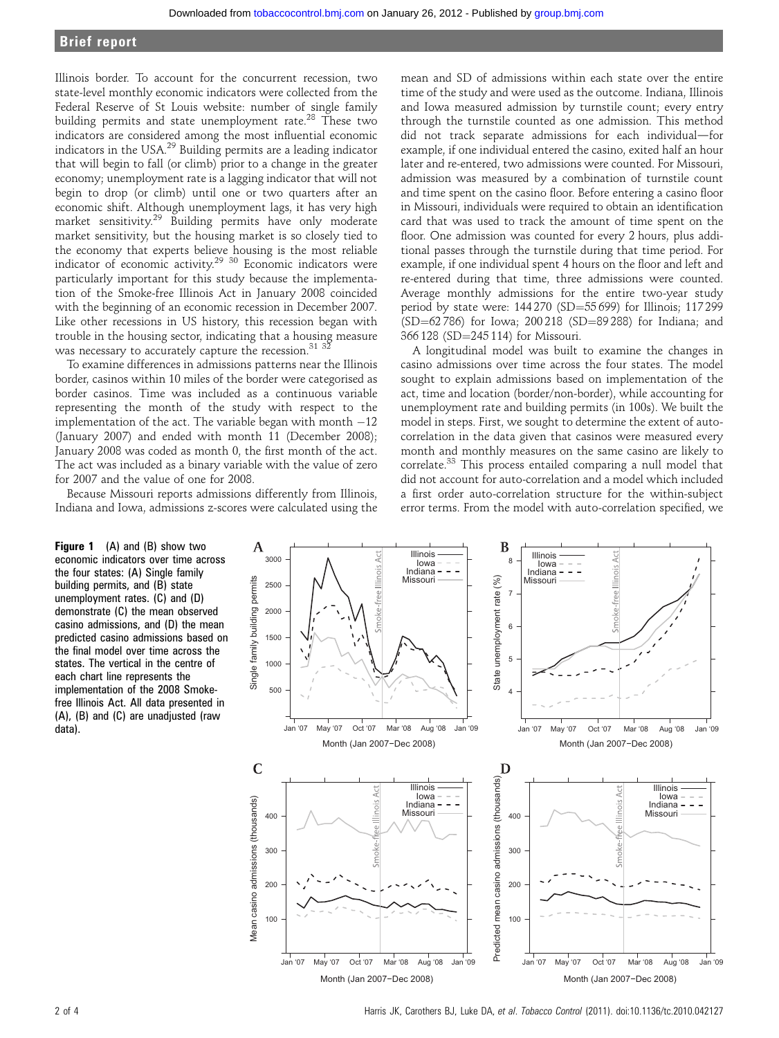# Brief report

Illinois border. To account for the concurrent recession, two state-level monthly economic indicators were collected from the Federal Reserve of St Louis website: number of single family building permits and state unemployment rate.<sup>28</sup> These two indicators are considered among the most influential economic indicators in the USA.29 Building permits are a leading indicator that will begin to fall (or climb) prior to a change in the greater economy; unemployment rate is a lagging indicator that will not begin to drop (or climb) until one or two quarters after an economic shift. Although unemployment lags, it has very high market sensitivity.<sup>29</sup> Building permits have only moderate market sensitivity, but the housing market is so closely tied to the economy that experts believe housing is the most reliable indicator of economic activity.29 30 Economic indicators were particularly important for this study because the implementation of the Smoke-free Illinois Act in January 2008 coincided with the beginning of an economic recession in December 2007. Like other recessions in US history, this recession began with trouble in the housing sector, indicating that a housing measure was necessary to accurately capture the recession.<sup>31</sup><sup>3</sup>

To examine differences in admissions patterns near the Illinois border, casinos within 10 miles of the border were categorised as border casinos. Time was included as a continuous variable representing the month of the study with respect to the implementation of the act. The variable began with month  $-12$ (January 2007) and ended with month 11 (December 2008); January 2008 was coded as month 0, the first month of the act. The act was included as a binary variable with the value of zero for 2007 and the value of one for 2008.

Because Missouri reports admissions differently from Illinois, Indiana and Iowa, admissions z-scores were calculated using the

mean and SD of admissions within each state over the entire time of the study and were used as the outcome. Indiana, Illinois and Iowa measured admission by turnstile count; every entry through the turnstile counted as one admission. This method did not track separate admissions for each individual-for example, if one individual entered the casino, exited half an hour later and re-entered, two admissions were counted. For Missouri, admission was measured by a combination of turnstile count and time spent on the casino floor. Before entering a casino floor in Missouri, individuals were required to obtain an identification card that was used to track the amount of time spent on the floor. One admission was counted for every 2 hours, plus additional passes through the turnstile during that time period. For example, if one individual spent 4 hours on the floor and left and re-entered during that time, three admissions were counted. Average monthly admissions for the entire two-year study period by state were:  $144\,270$  (SD=55 699) for Illinois; 117 299 (SD=62 786) for Iowa; 200 218 (SD=89 288) for Indiana; and 366 128 (SD=245 114) for Missouri.

A longitudinal model was built to examine the changes in casino admissions over time across the four states. The model sought to explain admissions based on implementation of the act, time and location (border/non-border), while accounting for unemployment rate and building permits (in 100s). We built the model in steps. First, we sought to determine the extent of autocorrelation in the data given that casinos were measured every month and monthly measures on the same casino are likely to correlate.<sup>33</sup> This process entailed comparing a null model that did not account for auto-correlation and a model which included a first order auto-correlation structure for the within-subject error terms. From the model with auto-correlation specified, we

Figure 1 (A) and (B) show two economic indicators over time across the four states: (A) Single family building permits, and (B) state unemployment rates. (C) and (D) demonstrate (C) the mean observed casino admissions, and (D) the mean predicted casino admissions based on the final model over time across the states. The vertical in the centre of each chart line represents the implementation of the 2008 Smokefree Illinois Act. All data presented in (A), (B) and (C) are unadjusted (raw data).



2 of 4 Harris JK, Carothers BJ, Luke DA, et al. Tobacco Control (2011). doi:10.1136/tc.2010.042127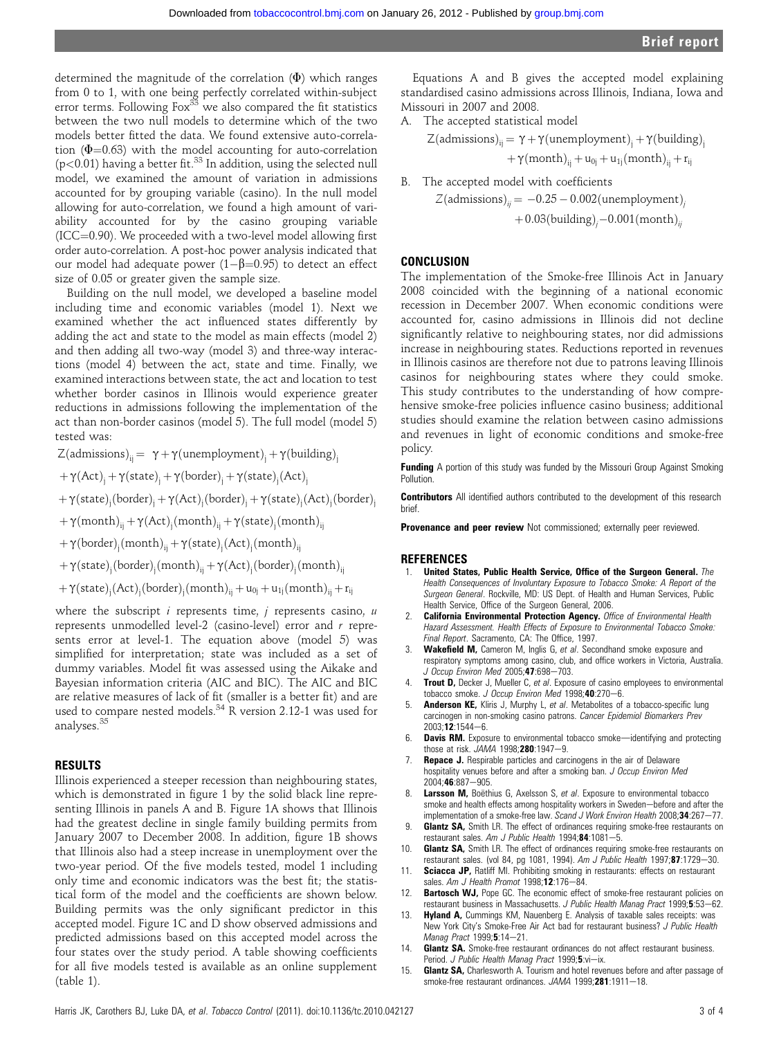determined the magnitude of the correlation  $(\Phi)$  which ranges from 0 to 1, with one being perfectly correlated within-subject error terms. Following  $Fox<sup>33</sup>$  we also compared the fit statistics between the two null models to determine which of the two models better fitted the data. We found extensive auto-correlation (**Φ**=0.63) with the model accounting for auto-correlation<br>(p<0.01) having a better fit.<sup>33</sup> In addition, using the selected null model, we examined the amount of variation in admissions accounted for by grouping variable (casino). In the null model allowing for auto-correlation, we found a high amount of variability accounted for by the casino grouping variable  $(ICC=0.90)$ . We proceeded with a two-level model allowing first order auto-correlation. A post-hoc power analysis indicated that our model had adequate power  $(1-\beta=0.95)$  to detect an effect size of 0.05 or greater given the sample size.

Building on the null model, we developed a baseline model including time and economic variables (model 1). Next we examined whether the act influenced states differently by adding the act and state to the model as main effects (model 2) and then adding all two-way (model 3) and three-way interactions (model 4) between the act, state and time. Finally, we examined interactions between state, the act and location to test whether border casinos in Illinois would experience greater reductions in admissions following the implementation of the act than non-border casinos (model 5). The full model (model 5) tested was:

 $Z(admissions)<sub>ii</sub> = \gamma + \gamma(unemployed)$ unemployment)<sub>i</sub> +  $\gamma(building)<sub>i</sub>$ 

 $+\gamma(\text{Act})_{j}+\gamma(\text{state})_{j}+\gamma(\text{border})_{j}+\gamma(\text{state})_{j}(\text{Act})_{j}$ 

 $+\gamma(\text{state})_{\text{j}}(\text{border})_{\text{j}}+\gamma(\text{Act})_{\text{j}}(\text{border})_{\text{j}}+\gamma(\text{state})_{\text{j}}(\text{Act})_{\text{j}}(\text{border})_{\text{j}}$ 

 $+\gamma(\mathrm{month})_{ij} + \gamma(\mathrm{Act})_{j}(\mathrm{month})_{ij} + \gamma(\mathrm{state})_{j}(\mathrm{month})_{ij}$ 

 $+\gamma\text{(border)}_{j}\text{(month)}_{ij}+\gamma\text{(state)}_{j}\text{(Act)}_{j}\text{(month)}_{ij}$ 

 $+\gamma(\text{state})_{\text{j}}(\text{border})_{\text{j}}(\text{month})_{\text{ij}} + \gamma(\text{Act})_{\text{j}}(\text{border})_{\text{j}}(\text{month})_{\text{ij}}$ 

 $+\gamma(\text{state})_j(\text{Act})_j(\text{border})_j(\text{month})_{ij} + u_{0j} + u_{1j}(\text{month})_{ij} + r_{ij}$ 

where the subscript  $i$  represents time,  $j$  represents casino,  $u$ represents unmodelled level-2 (casino-level) error and r represents error at level-1. The equation above (model 5) was simplified for interpretation; state was included as a set of dummy variables. Model fit was assessed using the Aikake and Bayesian information criteria (AIC and BIC). The AIC and BIC are relative measures of lack of fit (smaller is a better fit) and are used to compare nested models.<sup>34</sup> R version 2.12-1 was used for analyses.<sup>35</sup>

#### RESULTS

Illinois experienced a steeper recession than neighbouring states, which is demonstrated in figure 1 by the solid black line representing Illinois in panels A and B. Figure 1A shows that Illinois had the greatest decline in single family building permits from January 2007 to December 2008. In addition, figure 1B shows that Illinois also had a steep increase in unemployment over the two-year period. Of the five models tested, model 1 including only time and economic indicators was the best fit; the statistical form of the model and the coefficients are shown below. Building permits was the only significant predictor in this accepted model. Figure 1C and D show observed admissions and predicted admissions based on this accepted model across the four states over the study period. A table showing coefficients for all five models tested is available as an online supplement (table 1).

Equations A and B gives the accepted model explaining standardised casino admissions across Illinois, Indiana, Iowa and Missouri in 2007 and 2008.

A. The accepted statistical model

$$
\begin{aligned} Z(\text{admissions})_{ij} &= \gamma + \gamma(\text{un employment})_j + \gamma(\text{building})_j \\ &+ \gamma(\text{month})_{ij} + u_{0j} + u_{1j}(\text{month})_{ij} + r_{ij} \end{aligned}
$$

B. The accepted model with coefficients  
\n
$$
Z(\text{admissions})_{ij} = -0.25 - 0.002(\text{un employment})_{ij} + 0.03(\text{building})_{j} - 0.001(\text{month})_{ij}
$$

#### **CONCLUSION**

The implementation of the Smoke-free Illinois Act in January 2008 coincided with the beginning of a national economic recession in December 2007. When economic conditions were accounted for, casino admissions in Illinois did not decline significantly relative to neighbouring states, nor did admissions increase in neighbouring states. Reductions reported in revenues in Illinois casinos are therefore not due to patrons leaving Illinois casinos for neighbouring states where they could smoke. This study contributes to the understanding of how comprehensive smoke-free policies influence casino business; additional studies should examine the relation between casino admissions and revenues in light of economic conditions and smoke-free policy.

**Funding** A portion of this study was funded by the Missouri Group Against Smoking **Pollution** 

**Contributors** All identified authors contributed to the development of this research brief.

Provenance and peer review Not commissioned; externally peer reviewed.

#### REFERENCES

- 1. United States, Public Health Service, Office of the Surgeon General. The Health Consequences of Involuntary Exposure to Tobacco Smoke: A Report of the Surgeon General. Rockville, MD: US Dept. of Health and Human Services, Public Health Service, Office of the Surgeon General, 2006.
- **California Environmental Protection Agency.** Office of Environmental Health Hazard Assessment. Health Effects of Exposure to Environmental Tobacco Smoke: Final Report. Sacramento, CA: The Office, 1997.
- Wakefield M, Cameron M, Inglis G, et al. Secondhand smoke exposure and respiratory symptoms among casino, club, and office workers in Victoria, Australia. J Occup Environ Med 2005;47:698-703.
- 4. Trout D, Decker J, Mueller C, et al. Exposure of casino employees to environmental tobacco smoke. J Occup Environ Med 1998; 40:270-6.
- Anderson KE, Kliris J, Murphy L, et al. Metabolites of a tobacco-specific lung carcinogen in non-smoking casino patrons. Cancer Epidemiol Biomarkers Prev  $2003; 12:1544-6.$
- 6. **Davis RM.** Exposure to environmental tobacco smoke-identifying and protecting those at risk.  $JAMA$  1998; 280:1947-9.
- Repace J. Respirable particles and carcinogens in the air of Delaware hospitality venues before and after a smoking ban. J Occup Environ Med 2004;46:887-905.
- 8. Larsson M, Boëthius G, Axelsson S, et al. Exposure to environmental tobacco smoke and health effects among hospitality workers in Sweden-before and after the implementation of a smoke-free law. Scand J Work Environ Health 2008;34:267-77.
- Glantz SA, Smith LR. The effect of ordinances requiring smoke-free restaurants on restaurant sales. Am J Public Health  $1994;84:1081-5$ .
- 10. Glantz SA, Smith LR. The effect of ordinances requiring smoke-free restaurants on restaurant sales. (vol 84, pg 1081, 1994). Am J Public Health 1997;87:1729-30.
- 11. Sciacca JP, Ratliff MI. Prohibiting smoking in restaurants: effects on restaurant sales. Am J Health Promot  $1998; 12:176-84$ .
- 12. **Bartosch WJ,** Pope GC. The economic effect of smoke-free restaurant policies on restaurant business in Massachusetts. J Public Health Manag Pract 1999;5:53-62.
- 13. Hyland A, Cummings KM, Nauenberg E. Analysis of taxable sales receipts: was New York City's Smoke-Free Air Act bad for restaurant business? J Public Health Manag Pract 1999;5:14-21.
- 14. Glantz SA. Smoke-free restaurant ordinances do not affect restaurant business. Period. J Public Health Manag Pract 1999;5:vi-ix.
- 15. Glantz SA, Charlesworth A. Tourism and hotel revenues before and after passage of smoke-free restaurant ordinances. JAMA 1999;281:1911-18.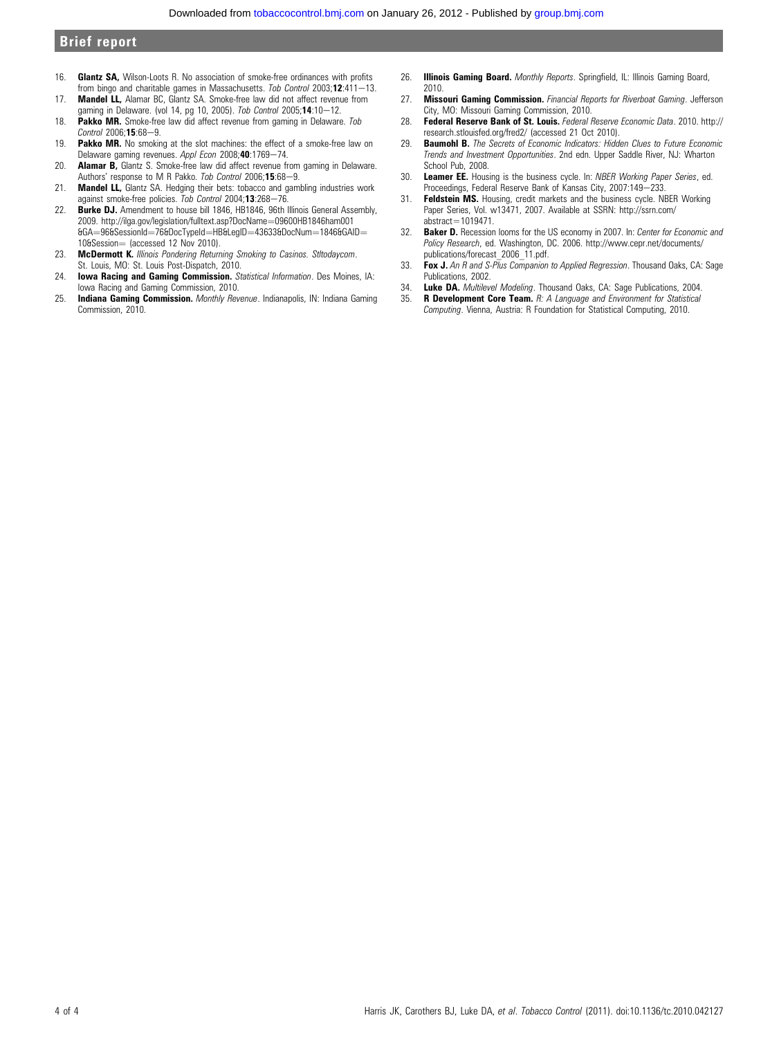### Brief report

- 16. Glantz SA, Wilson-Loots R. No association of smoke-free ordinances with profits from bingo and charitable games in Massachusetts. Tob Control 2003;12:411-13.
- 17. **Mandel LL,** Alamar BC, Glantz SA. Smoke-free law did not affect revenue from gaming in Delaware. (vol 14, pg 10, 2005). Tob Control 2005;14:10-12.
- 18. Pakko MR. Smoke-free law did affect revenue from gaming in Delaware. Tob  $Control$  2006; 15:68-9.
- 19. Pakko MR. No smoking at the slot machines: the effect of a smoke-free law on Delaware gaming revenues. Appl Econ 2008;40:1769-74.
- 20. **Alamar B**, Glantz S. Smoke-free law did affect revenue from gaming in Delaware. Authors' response to M R Pakko. Tob Control 2006;15:68-9.
- 21. **Mandel LL,** Glantz SA. Hedging their bets: tobacco and gambling industries work against smoke-free policies. Tob Control 2004;13:268-76.
- 22. **Burke DJ.** Amendment to house bill 1846, HB1846, 96th Illinois General Assembly, 2009. http://ilga.gov/legislation/fulltext.asp?DocName=09600HB1846ham001  $66A = 966S$ essionId $=766D$ ocTypeId $=$ HB&LegID $=436336D$ ocNum $=18466G$ AID $=$  $10@Session = (accessed 12 Nov 2010).$
- 23. McDermott K. Illinois Pondering Returning Smoking to Casinos. Stltodaycom. St. Louis, MO: St. Louis Post-Dispatch, 2010.
- 24. Iowa Racing and Gaming Commission. Statistical Information. Des Moines, IA: Iowa Racing and Gaming Commission, 2010.
- 25. Indiana Gaming Commission. Monthly Revenue. Indianapolis, IN: Indiana Gaming Commission, 2010.
- 26. **Illinois Gaming Board.** Monthly Reports, Springfield, IL: Illinois Gaming Board, 2010.
- 27. Missouri Gaming Commission. Financial Reports for Riverboat Gaming. Jefferson City, MO: Missouri Gaming Commission, 2010.
- 28. Federal Reserve Bank of St. Louis. Federal Reserve Economic Data. 2010. http:// research.stlouisfed.org/fred2/ (accessed 21 Oct 2010).
- 29. **Baumohl B.** The Secrets of Economic Indicators: Hidden Clues to Future Economic Trends and Investment Opportunities. 2nd edn. Upper Saddle River, NJ: Wharton School Pub, 2008.
- 30. Leamer EE. Housing is the business cycle. In: NBER Working Paper Series, ed. Proceedings, Federal Reserve Bank of Kansas City, 2007:149-233.
- 31. Feldstein MS. Housing, credit markets and the business cycle. NBER Working Paper Series, Vol. w13471, 2007. Available at SSRN: http://ssrn.com/ abstract=1019471.
- **Baker D.** Recession looms for the US economy in 2007. In: Center for Economic and Policy Research, ed. Washington, DC. 2006. http://www.cepr.net/documents/ publications/forecast\_2006\_11.pdf.
- 33. Fox J. An R and S-Plus Companion to Applied Regression. Thousand Oaks, CA: Sage Publications, 2002.
- 34. **Luke DA.** *Multilevel Modeling.* Thousand Oaks, CA: Sage Publications, 2004.<br>35. **B. Development Core Team** *B: A Lappuage and Environment for Statistical*
- **R Development Core Team.** R: A Language and Environment for Statistical Computing. Vienna, Austria: R Foundation for Statistical Computing, 2010.